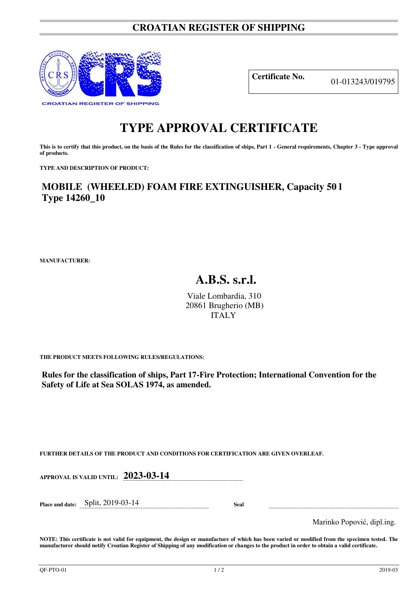## **CROATIAN REGISTER OF SHIPPING**



**Certificate No.** 01-013243/019795

## **TYPE APPROVAL CERTIFICATE**

This is to certify that this product, on the basis of the Rules for the classification of ships, Part 1 - General requirements, Chapter 3 - Type approval **of products.** 

**TYPE AND DESCRIPTION OF PRODUCT:** 

**MOBILE (WHEELED) FOAM FIRE EXTINGUISHER, Capacity 50 l Type 14260\_10**

**MANUFACTURER:**

## **A.B.S. s.r.l.**

Viale Lombardia, 310 20861 Brugherio (MB) ITALY

**THE PRODUCT MEETS FOLLOWING RULES/REGULATIONS:**

**Rules for the classification of ships, Part 17-Fire Protection; International Convention for the Safety of Life at Sea SOLAS 1974, as amended.**

**FURTHER DETAILS OF THE PRODUCT AND CONDITIONS FOR CERTIFICATION ARE GIVEN OVERLEAF.**

**APPROVAL IS VALID UNTIL: 2023-03-14** 

**Place and date:** Split, 2019-03-14 **Seal** 

Marinko Popović, dipl.ing.

**NOTE: This certificate is not valid for equipment, the design or manufacture of which has been varied or modified from the specimen tested. The manufacturer should notify Croatian Register of Shipping of any modification or changes to the product in order to obtain a valid certificate.**